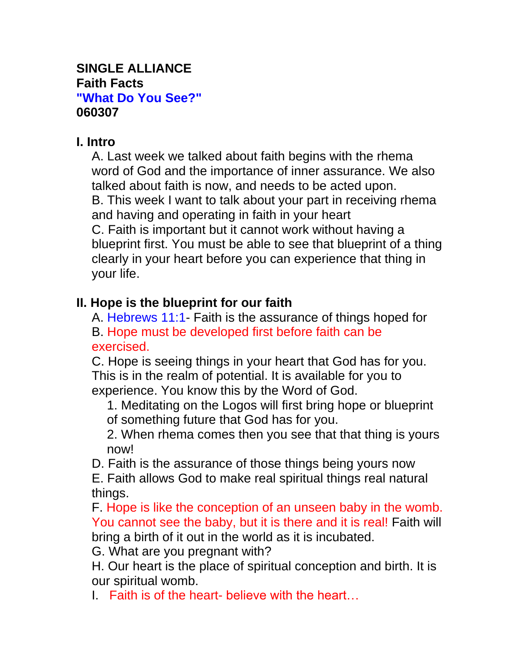#### **SINGLE ALLIANCE Faith Facts "What Do You See?" 060307**

#### **I. Intro**

A. Last week we talked about faith begins with the rhema word of God and the importance of inner assurance. We also talked about faith is now, and needs to be acted upon. B. This week I want to talk about your part in receiving rhema and having and operating in faith in your heart C. Faith is important but it cannot work without having a blueprint first. You must be able to see that blueprint of a thing clearly in your heart before you can experience that thing in your life.

#### **II. Hope is the blueprint for our faith**

A. Hebrews 11:1- Faith is the assurance of things hoped for B. Hope must be developed first before faith can be exercised.

C. Hope is seeing things in your heart that God has for you. This is in the realm of potential. It is available for you to experience. You know this by the Word of God.

1. Meditating on the Logos will first bring hope or blueprint of something future that God has for you.

2. When rhema comes then you see that that thing is yours now!

D. Faith is the assurance of those things being yours now

E. Faith allows God to make real spiritual things real natural things.

F. Hope is like the conception of an unseen baby in the womb. You cannot see the baby, but it is there and it is real! Faith will bring a birth of it out in the world as it is incubated.

G. What are you pregnant with?

H. Our heart is the place of spiritual conception and birth. It is our spiritual womb.

I. Faith is of the heart- believe with the heart…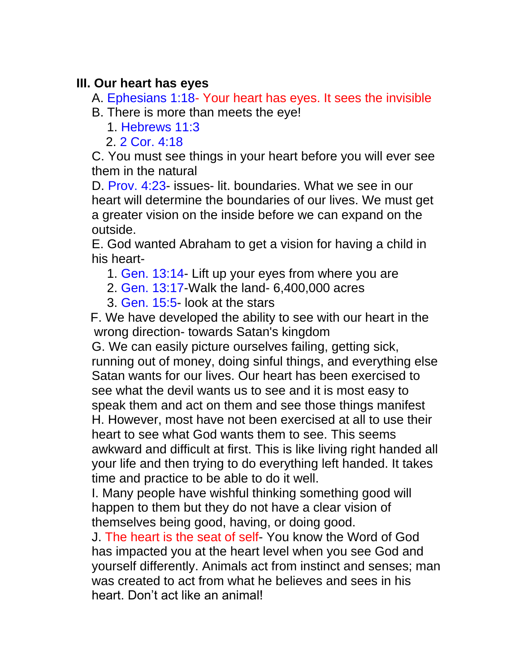#### **III. Our heart has eyes**

A. Ephesians 1:18- Your heart has eyes. It sees the invisible

B. There is more than meets the eye!

1. Hebrews 11:3

2. 2 Cor. 4:18

C. You must see things in your heart before you will ever see them in the natural

D. Prov. 4:23- issues- lit. boundaries. What we see in our heart will determine the boundaries of our lives. We must get a greater vision on the inside before we can expand on the outside.

E. God wanted Abraham to get a vision for having a child in his heart-

- 1. Gen. 13:14- Lift up your eyes from where you are
- 2. Gen. 13:17-Walk the land- 6,400,000 acres
- 3. Gen. 15:5- look at the stars

 F. We have developed the ability to see with our heart in the wrong direction- towards Satan's kingdom

G. We can easily picture ourselves failing, getting sick, running out of money, doing sinful things, and everything else Satan wants for our lives. Our heart has been exercised to see what the devil wants us to see and it is most easy to speak them and act on them and see those things manifest H. However, most have not been exercised at all to use their heart to see what God wants them to see. This seems awkward and difficult at first. This is like living right handed all your life and then trying to do everything left handed. It takes time and practice to be able to do it well.

I. Many people have wishful thinking something good will happen to them but they do not have a clear vision of themselves being good, having, or doing good.

J. The heart is the seat of self- You know the Word of God has impacted you at the heart level when you see God and yourself differently. Animals act from instinct and senses; man was created to act from what he believes and sees in his heart. Don't act like an animal!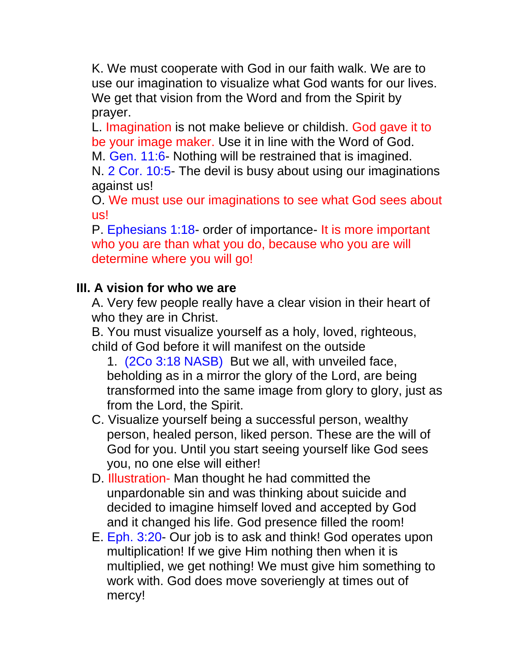K. We must cooperate with God in our faith walk. We are to use our imagination to visualize what God wants for our lives. We get that vision from the Word and from the Spirit by prayer.

L. Imagination is not make believe or childish. God gave it to be your image maker. Use it in line with the Word of God.

M. Gen. 11:6- Nothing will be restrained that is imagined.

N. 2 Cor. 10:5- The devil is busy about using our imaginations against us!

O. We must use our imaginations to see what God sees about us!

P. Ephesians 1:18- order of importance- It is more important who you are than what you do, because who you are will determine where you will go!

## **III. A vision for who we are**

A. Very few people really have a clear vision in their heart of who they are in Christ.

B. You must visualize yourself as a holy, loved, righteous, child of God before it will manifest on the outside

1. (2Co 3:18 NASB) But we all, with unveiled face, beholding as in a mirror the glory of the Lord, are being transformed into the same image from glory to glory, just as from the Lord, the Spirit.

- C. Visualize yourself being a successful person, wealthy person, healed person, liked person. These are the will of God for you. Until you start seeing yourself like God sees you, no one else will either!
- D. **Illustration** Man thought he had committed the unpardonable sin and was thinking about suicide and decided to imagine himself loved and accepted by God and it changed his life. God presence filled the room!
- E. Eph. 3:20- Our job is to ask and think! God operates upon multiplication! If we give Him nothing then when it is multiplied, we get nothing! We must give him something to work with. God does move soveriengly at times out of mercy!